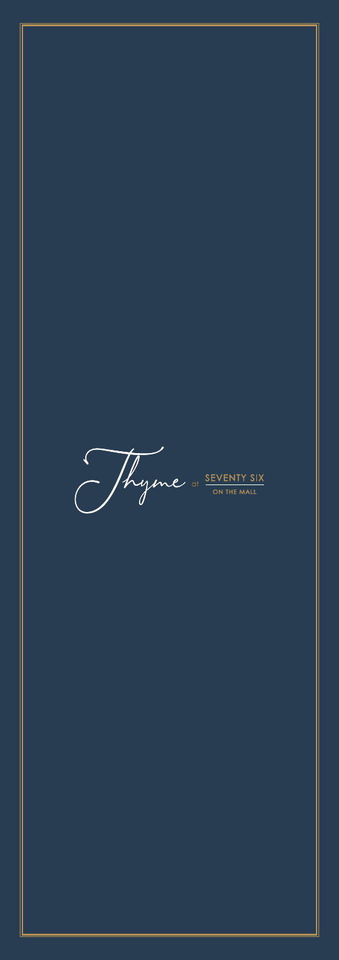Thyme of SEVENTY SIX